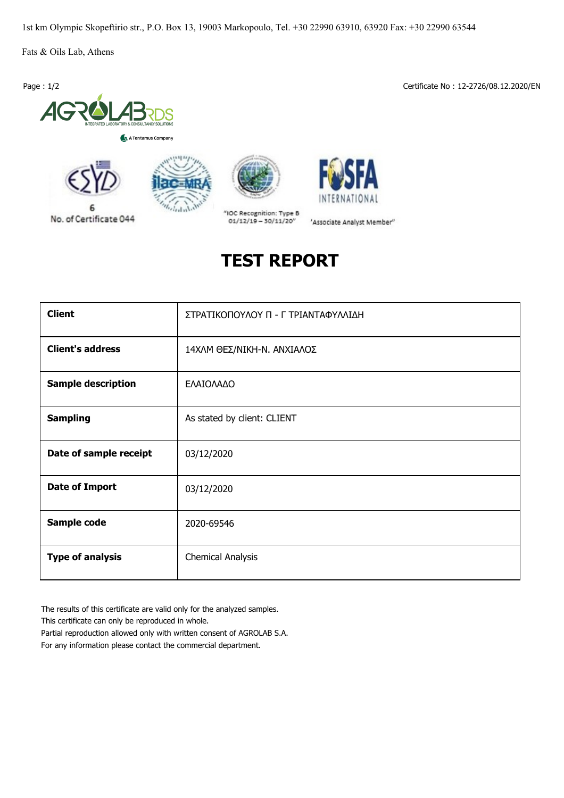1st km Olympic Skopeftirio str., P.O. Box 13, 19003 Markopoulo, Tel. +30 22990 63910, 63920 Fax: +30 22990 63544

Fats & Oils Lab, Athens



No. of Certificate 044

A Tentamus Company

ij.

 $L_{1}$ 

Page : 1/2 Certificate No : 12-2726/08.12.2020/EN





'Associate Analyst Member"

"IOC Recognition: Type B  $01/12/19 - 30/11/20''$ 

## **TEST REPORT**

| <b>Client</b>             | ΣΤΡΑΤΙΚΟΠΟΥΛΟΥ Π - Γ ΤΡΙΑΝΤΑΦΥΛΛΙΔΗ |  |  |  |  |
|---------------------------|-------------------------------------|--|--|--|--|
| <b>Client's address</b>   | 14ΧΛΜ ΘΕΣ/ΝΙΚΗ-Ν. ΑΝΧΙΑΛΟΣ          |  |  |  |  |
| <b>Sample description</b> | ΕΛΑΙΟΛΑΔΟ                           |  |  |  |  |
| <b>Sampling</b>           | As stated by client: CLIENT         |  |  |  |  |
| Date of sample receipt    | 03/12/2020                          |  |  |  |  |
| <b>Date of Import</b>     | 03/12/2020                          |  |  |  |  |
| Sample code               | 2020-69546                          |  |  |  |  |
| <b>Type of analysis</b>   | <b>Chemical Analysis</b>            |  |  |  |  |

The results of this certificate are valid only for the analyzed samples.

This certificate can only be reproduced in whole.

Partial reproduction allowed only with written consent of AGROLAB S.A. For any information please contact the commercial department.